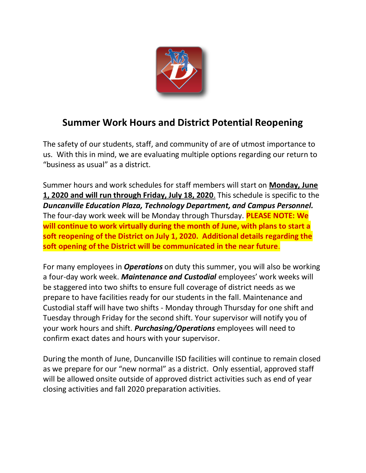

## **Summer Work Hours and District Potential Reopening**

The safety of our students, staff, and community of are of utmost importance to us. With this in mind, we are evaluating multiple options regarding our return to "business as usual" as a district.

Summer hours and work schedules for staff members will start on **Monday, June 1, 2020 and will run through Friday, July 18, 2020**. This schedule is specific to the *Duncanville Education Plaza, Technology Department, and Campus Personnel.*  The four-day work week will be Monday through Thursday. **PLEASE NOTE: We will continue to work virtually during the month of June, with plans to start a soft reopening of the District on July 1, 2020. Additional details regarding the soft opening of the District will be communicated in the near future**.

For many employees in *Operations* on duty this summer, you will also be working a four-day work week. *Maintenance and Custodial* employees' work weeks will be staggered into two shifts to ensure full coverage of district needs as we prepare to have facilities ready for our students in the fall. Maintenance and Custodial staff will have two shifts - Monday through Thursday for one shift and Tuesday through Friday for the second shift. Your supervisor will notify you of your work hours and shift. *Purchasing/Operations* employees will need to confirm exact dates and hours with your supervisor.

During the month of June, Duncanville ISD facilities will continue to remain closed as we prepare for our "new normal" as a district. Only essential, approved staff will be allowed onsite outside of approved district activities such as end of year closing activities and fall 2020 preparation activities.